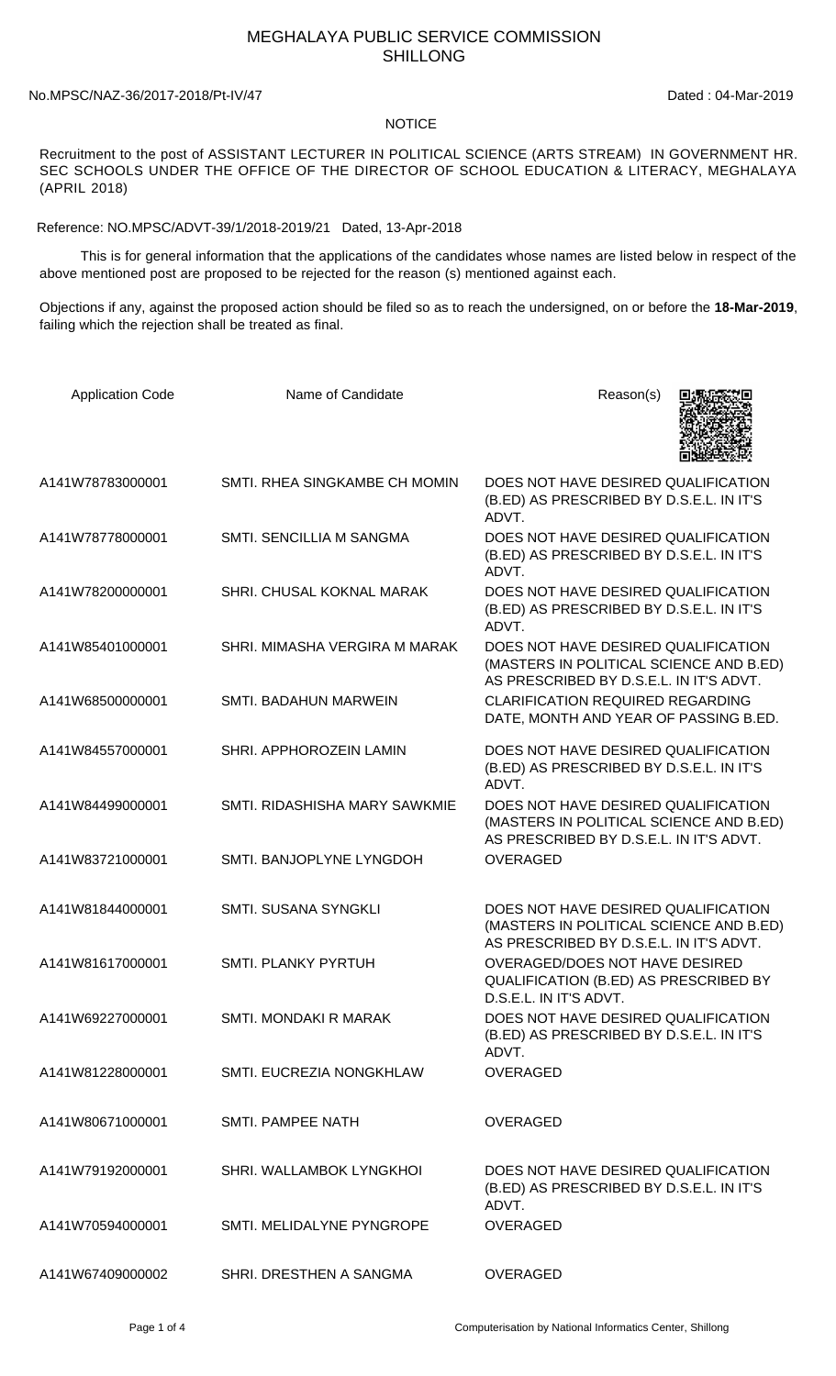## MEGHALAYA PUBLIC SERVICE COMMISSION SHILLONG

## No.MPSC/NAZ-36/2017-2018/Pt-IV/47 Dated : 04-Mar-2019

## **NOTICE**

Recruitment to the post of ASSISTANT LECTURER IN POLITICAL SCIENCE (ARTS STREAM) IN GOVERNMENT HR. SEC SCHOOLS UNDER THE OFFICE OF THE DIRECTOR OF SCHOOL EDUCATION & LITERACY, MEGHALAYA (APRIL 2018)

Reference: NO.MPSC/ADVT-39/1/2018-2019/21 Dated, 13-Apr-2018

 This is for general information that the applications of the candidates whose names are listed below in respect of the above mentioned post are proposed to be rejected for the reason (s) mentioned against each.

Objections if any, against the proposed action should be filed so as to reach the undersigned, on or before the **18-Mar-2019**, failing which the rejection shall be treated as final.

| <b>Application Code</b> | Name of Candidate               | Reason(s)                                                                                                                 |
|-------------------------|---------------------------------|---------------------------------------------------------------------------------------------------------------------------|
| A141W78783000001        | SMTI. RHEA SINGKAMBE CH MOMIN   | DOES NOT HAVE DESIRED QUALIFICATION<br>(B.ED) AS PRESCRIBED BY D.S.E.L. IN IT'S<br>ADVT.                                  |
| A141W78778000001        | <b>SMTI. SENCILLIA M SANGMA</b> | DOES NOT HAVE DESIRED QUALIFICATION<br>(B.ED) AS PRESCRIBED BY D.S.E.L. IN IT'S<br>ADVT.                                  |
| A141W78200000001        | SHRI. CHUSAL KOKNAL MARAK       | DOES NOT HAVE DESIRED QUALIFICATION<br>(B.ED) AS PRESCRIBED BY D.S.E.L. IN IT'S<br>ADVT.                                  |
| A141W85401000001        | SHRI. MIMASHA VERGIRA M MARAK   | DOES NOT HAVE DESIRED QUALIFICATION<br>(MASTERS IN POLITICAL SCIENCE AND B.ED)<br>AS PRESCRIBED BY D.S.E.L. IN IT'S ADVT. |
| A141W68500000001        | <b>SMTI. BADAHUN MARWEIN</b>    | <b>CLARIFICATION REQUIRED REGARDING</b><br>DATE, MONTH AND YEAR OF PASSING B.ED.                                          |
| A141W84557000001        | SHRI. APPHOROZEIN LAMIN         | DOES NOT HAVE DESIRED QUALIFICATION<br>(B.ED) AS PRESCRIBED BY D.S.E.L. IN IT'S<br>ADVT.                                  |
| A141W84499000001        | SMTI. RIDASHISHA MARY SAWKMIE   | DOES NOT HAVE DESIRED QUALIFICATION<br>(MASTERS IN POLITICAL SCIENCE AND B.ED)<br>AS PRESCRIBED BY D.S.E.L. IN IT'S ADVT. |
| A141W83721000001        | SMTI. BANJOPLYNE LYNGDOH        | <b>OVERAGED</b>                                                                                                           |
| A141W81844000001        | SMTI. SUSANA SYNGKLI            | DOES NOT HAVE DESIRED QUALIFICATION<br>(MASTERS IN POLITICAL SCIENCE AND B.ED)<br>AS PRESCRIBED BY D.S.E.L. IN IT'S ADVT. |
| A141W81617000001        | <b>SMTI. PLANKY PYRTUH</b>      | OVERAGED/DOES NOT HAVE DESIRED<br>QUALIFICATION (B.ED) AS PRESCRIBED BY<br>D.S.E.L. IN IT'S ADVT.                         |
| A141W69227000001        | SMTI, MONDAKI R MARAK           | DOES NOT HAVE DESIRED QUALIFICATION<br>(B.ED) AS PRESCRIBED BY D.S.E.L. IN IT'S<br>ADVT.                                  |
| A141W81228000001        | SMTI. EUCREZIA NONGKHLAW        | <b>OVERAGED</b>                                                                                                           |
| A141W80671000001        | <b>SMTI. PAMPEE NATH</b>        | <b>OVERAGED</b>                                                                                                           |
| A141W79192000001        | SHRI. WALLAMBOK LYNGKHOI        | DOES NOT HAVE DESIRED QUALIFICATION<br>(B.ED) AS PRESCRIBED BY D.S.E.L. IN IT'S<br>ADVT.                                  |
| A141W70594000001        | SMTI. MELIDALYNE PYNGROPE       | <b>OVERAGED</b>                                                                                                           |
| A141W67409000002        | SHRI. DRESTHEN A SANGMA         | <b>OVERAGED</b>                                                                                                           |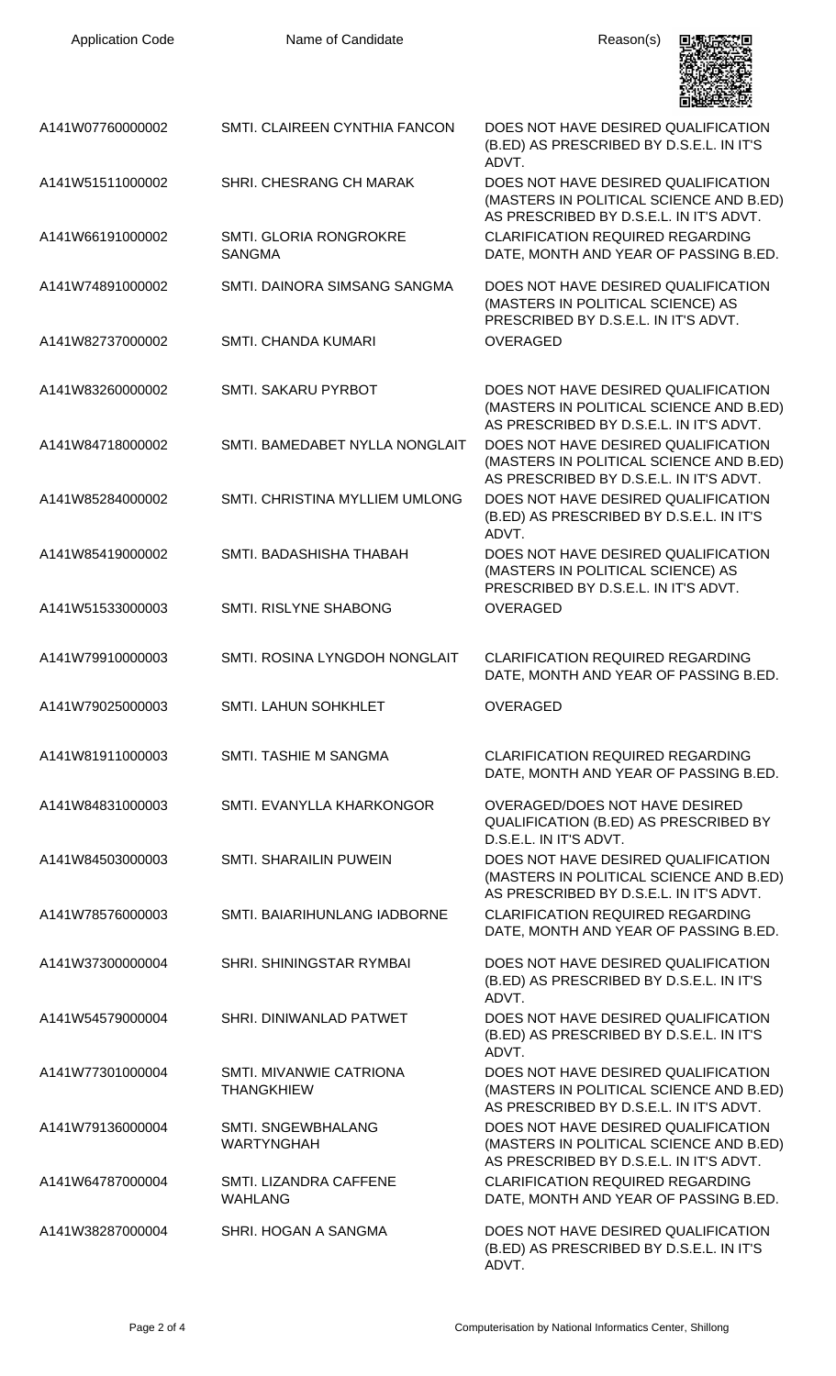| <b>Application Code</b> | Name of Candidate                              | Reason(s)                                                                                                                 |
|-------------------------|------------------------------------------------|---------------------------------------------------------------------------------------------------------------------------|
| A141W07760000002        | <b>SMTI, CLAIREEN CYNTHIA FANCON</b>           | DOES NOT HAVE DESIRED QUALIFICATION<br>(B.ED) AS PRESCRIBED BY D.S.E.L. IN IT'S<br>ADVT.                                  |
| A141W51511000002        | SHRI. CHESRANG CH MARAK                        | DOES NOT HAVE DESIRED QUALIFICATION<br>(MASTERS IN POLITICAL SCIENCE AND B.ED)<br>AS PRESCRIBED BY D.S.E.L. IN IT'S ADVT. |
| A141W66191000002        | SMTI. GLORIA RONGROKRE<br><b>SANGMA</b>        | <b>CLARIFICATION REQUIRED REGARDING</b><br>DATE, MONTH AND YEAR OF PASSING B.ED.                                          |
| A141W74891000002        | SMTI, DAINORA SIMSANG SANGMA                   | DOES NOT HAVE DESIRED QUALIFICATION<br>(MASTERS IN POLITICAL SCIENCE) AS<br>PRESCRIBED BY D.S.E.L. IN IT'S ADVT.          |
| A141W82737000002        | <b>SMTI, CHANDA KUMARI</b>                     | <b>OVERAGED</b>                                                                                                           |
| A141W83260000002        | SMTI. SAKARU PYRBOT                            | DOES NOT HAVE DESIRED QUALIFICATION<br>(MASTERS IN POLITICAL SCIENCE AND B.ED)<br>AS PRESCRIBED BY D.S.E.L. IN IT'S ADVT. |
| A141W84718000002        | SMTI. BAMEDABET NYLLA NONGLAIT                 | DOES NOT HAVE DESIRED QUALIFICATION<br>(MASTERS IN POLITICAL SCIENCE AND B.ED)<br>AS PRESCRIBED BY D.S.E.L. IN IT'S ADVT. |
| A141W85284000002        | SMTI. CHRISTINA MYLLIEM UMLONG                 | DOES NOT HAVE DESIRED QUALIFICATION<br>(B.ED) AS PRESCRIBED BY D.S.E.L. IN IT'S<br>ADVT.                                  |
| A141W85419000002        | SMTI. BADASHISHA THABAH                        | DOES NOT HAVE DESIRED QUALIFICATION<br>(MASTERS IN POLITICAL SCIENCE) AS<br>PRESCRIBED BY D.S.E.L. IN IT'S ADVT.          |
| A141W51533000003        | <b>SMTI. RISLYNE SHABONG</b>                   | <b>OVERAGED</b>                                                                                                           |
| A141W79910000003        | SMTI. ROSINA LYNGDOH NONGLAIT                  | <b>CLARIFICATION REQUIRED REGARDING</b><br>DATE, MONTH AND YEAR OF PASSING B.ED.                                          |
| A141W79025000003        | SMTI. LAHUN SOHKHLET                           | <b>OVERAGED</b>                                                                                                           |
| A141W81911000003        | SMTI. TASHIE M SANGMA                          | <b>CLARIFICATION REQUIRED REGARDING</b><br>DATE, MONTH AND YEAR OF PASSING B.ED.                                          |
| A141W84831000003        | SMTI. EVANYLLA KHARKONGOR                      | <b>OVERAGED/DOES NOT HAVE DESIRED</b><br>QUALIFICATION (B.ED) AS PRESCRIBED BY<br>D.S.E.L. IN IT'S ADVT.                  |
| A141W84503000003        | <b>SMTI. SHARAILIN PUWEIN</b>                  | DOES NOT HAVE DESIRED QUALIFICATION<br>(MASTERS IN POLITICAL SCIENCE AND B.ED)<br>AS PRESCRIBED BY D.S.E.L. IN IT'S ADVT. |
| A141W78576000003        | SMTI. BAIARIHUNLANG IADBORNE                   | <b>CLARIFICATION REQUIRED REGARDING</b><br>DATE, MONTH AND YEAR OF PASSING B.ED.                                          |
| A141W37300000004        | SHRI. SHININGSTAR RYMBAI                       | DOES NOT HAVE DESIRED QUALIFICATION<br>(B.ED) AS PRESCRIBED BY D.S.E.L. IN IT'S<br>ADVT.                                  |
| A141W54579000004        | SHRI. DINIWANLAD PATWET                        | DOES NOT HAVE DESIRED QUALIFICATION<br>(B.ED) AS PRESCRIBED BY D.S.E.L. IN IT'S<br>ADVT.                                  |
| A141W77301000004        | SMTI, MIVANWIE CATRIONA<br><b>THANGKHIEW</b>   | DOES NOT HAVE DESIRED QUALIFICATION<br>(MASTERS IN POLITICAL SCIENCE AND B.ED)<br>AS PRESCRIBED BY D.S.E.L. IN IT'S ADVT. |
| A141W79136000004        | <b>SMTI. SNGEWBHALANG</b><br><b>WARTYNGHAH</b> | DOES NOT HAVE DESIRED QUALIFICATION<br>(MASTERS IN POLITICAL SCIENCE AND B.ED)<br>AS PRESCRIBED BY D.S.E.L. IN IT'S ADVT. |
| A141W64787000004        | SMTI. LIZANDRA CAFFENE<br><b>WAHLANG</b>       | <b>CLARIFICATION REQUIRED REGARDING</b><br>DATE, MONTH AND YEAR OF PASSING B.ED.                                          |
| A141W38287000004        | SHRI. HOGAN A SANGMA                           | DOES NOT HAVE DESIRED QUALIFICATION<br>(B.ED) AS PRESCRIBED BY D.S.E.L. IN IT'S<br>ADVT.                                  |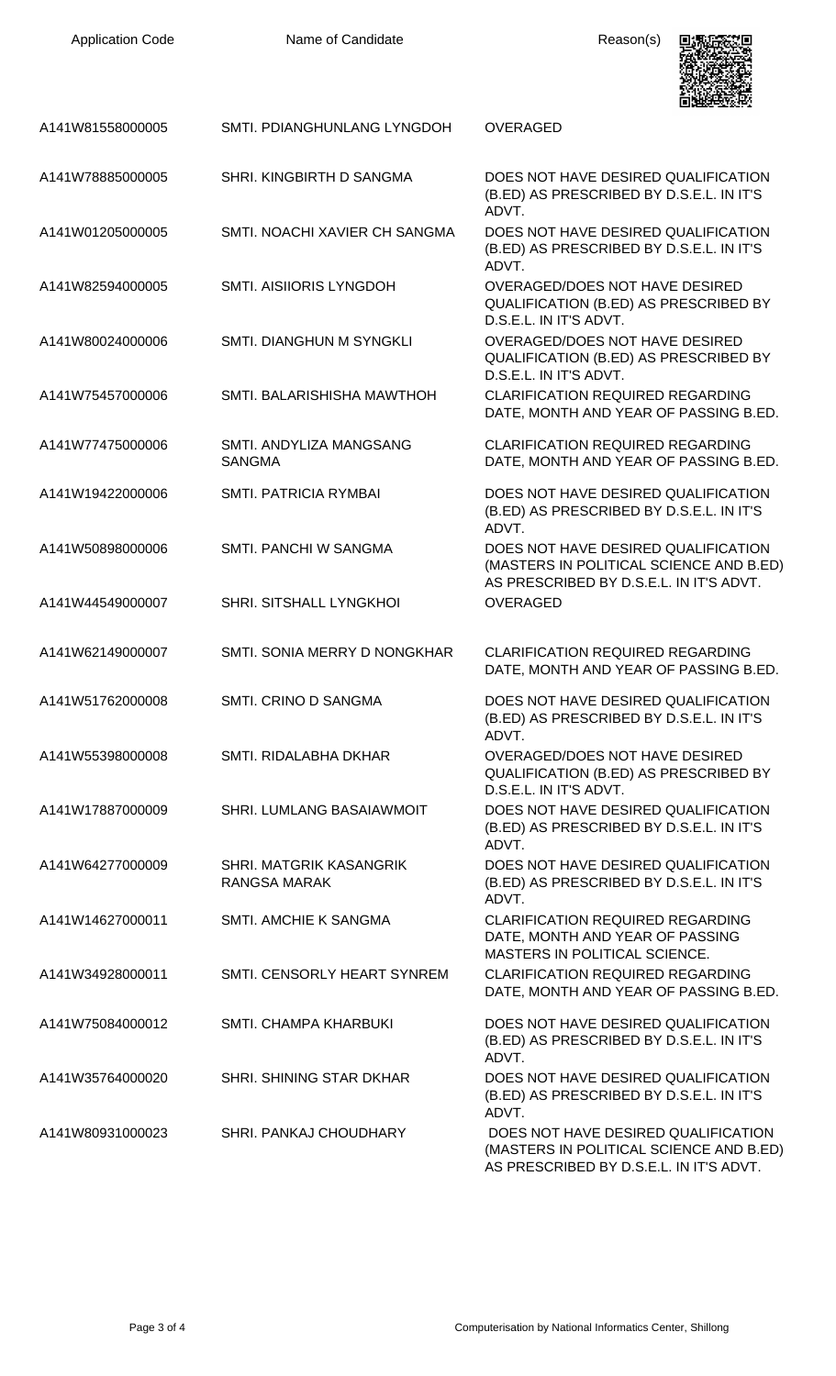| <b>Application Code</b> | Name of Candidate                                     | Reason(s)                                                                                                                 |
|-------------------------|-------------------------------------------------------|---------------------------------------------------------------------------------------------------------------------------|
| A141W81558000005        | SMTI. PDIANGHUNLANG LYNGDOH                           | <b>OVERAGED</b>                                                                                                           |
| A141W78885000005        | SHRI. KINGBIRTH D SANGMA                              | DOES NOT HAVE DESIRED QUALIFICATION<br>(B.ED) AS PRESCRIBED BY D.S.E.L. IN IT'S<br>ADVT.                                  |
| A141W01205000005        | SMTI. NOACHI XAVIER CH SANGMA                         | DOES NOT HAVE DESIRED QUALIFICATION<br>(B.ED) AS PRESCRIBED BY D.S.E.L. IN IT'S<br>ADVT.                                  |
| A141W82594000005        | <b>SMTI. AISIIORIS LYNGDOH</b>                        | OVERAGED/DOES NOT HAVE DESIRED<br>QUALIFICATION (B.ED) AS PRESCRIBED BY<br>D.S.E.L. IN IT'S ADVT.                         |
| A141W80024000006        | <b>SMTI. DIANGHUN M SYNGKLI</b>                       | OVERAGED/DOES NOT HAVE DESIRED<br>QUALIFICATION (B.ED) AS PRESCRIBED BY<br>D.S.E.L. IN IT'S ADVT.                         |
| A141W75457000006        | SMTI. BALARISHISHA MAWTHOH                            | <b>CLARIFICATION REQUIRED REGARDING</b><br>DATE, MONTH AND YEAR OF PASSING B.ED.                                          |
| A141W77475000006        | SMTI. ANDYLIZA MANGSANG<br><b>SANGMA</b>              | <b>CLARIFICATION REQUIRED REGARDING</b><br>DATE, MONTH AND YEAR OF PASSING B.ED.                                          |
| A141W19422000006        | <b>SMTI. PATRICIA RYMBAI</b>                          | DOES NOT HAVE DESIRED QUALIFICATION<br>(B.ED) AS PRESCRIBED BY D.S.E.L. IN IT'S<br>ADVT.                                  |
| A141W50898000006        | SMTI. PANCHI W SANGMA                                 | DOES NOT HAVE DESIRED QUALIFICATION<br>(MASTERS IN POLITICAL SCIENCE AND B.ED)<br>AS PRESCRIBED BY D.S.E.L. IN IT'S ADVT. |
| A141W44549000007        | SHRI. SITSHALL LYNGKHOI                               | <b>OVERAGED</b>                                                                                                           |
| A141W62149000007        | SMTI. SONIA MERRY D NONGKHAR                          | <b>CLARIFICATION REQUIRED REGARDING</b><br>DATE, MONTH AND YEAR OF PASSING B.ED.                                          |
| A141W51762000008        | SMTI. CRINO D SANGMA                                  | DOES NOT HAVE DESIRED QUALIFICATION<br>(B.ED) AS PRESCRIBED BY D.S.E.L. IN IT'S<br>ADVT.                                  |
| A141W55398000008        | SMTI. RIDALABHA DKHAR                                 | OVERAGED/DOES NOT HAVE DESIRED<br>QUALIFICATION (B.ED) AS PRESCRIBED BY<br>D.S.E.L. IN IT'S ADVT.                         |
| A141W17887000009        | SHRI. LUMLANG BASAIAWMOIT                             | DOES NOT HAVE DESIRED QUALIFICATION<br>(B.ED) AS PRESCRIBED BY D.S.E.L. IN IT'S<br>ADVT.                                  |
| A141W64277000009        | <b>SHRI. MATGRIK KASANGRIK</b><br><b>RANGSA MARAK</b> | DOES NOT HAVE DESIRED QUALIFICATION<br>(B.ED) AS PRESCRIBED BY D.S.E.L. IN IT'S<br>ADVT.                                  |
| A141W14627000011        | SMTI. AMCHIE K SANGMA                                 | <b>CLARIFICATION REQUIRED REGARDING</b><br>DATE, MONTH AND YEAR OF PASSING<br>MASTERS IN POLITICAL SCIENCE.               |
| A141W34928000011        | SMTI. CENSORLY HEART SYNREM                           | <b>CLARIFICATION REQUIRED REGARDING</b><br>DATE, MONTH AND YEAR OF PASSING B.ED.                                          |
| A141W75084000012        | SMTI. CHAMPA KHARBUKI                                 | DOES NOT HAVE DESIRED QUALIFICATION<br>(B.ED) AS PRESCRIBED BY D.S.E.L. IN IT'S<br>ADVT.                                  |
| A141W35764000020        | SHRI. SHINING STAR DKHAR                              | DOES NOT HAVE DESIRED QUALIFICATION<br>(B.ED) AS PRESCRIBED BY D.S.E.L. IN IT'S<br>ADVT.                                  |
| A141W80931000023        | SHRI. PANKAJ CHOUDHARY                                | DOES NOT HAVE DESIRED QUALIFICATION<br>(MASTERS IN POLITICAL SCIENCE AND B.ED)<br>AS PRESCRIBED BY D.S.E.L. IN IT'S ADVT. |